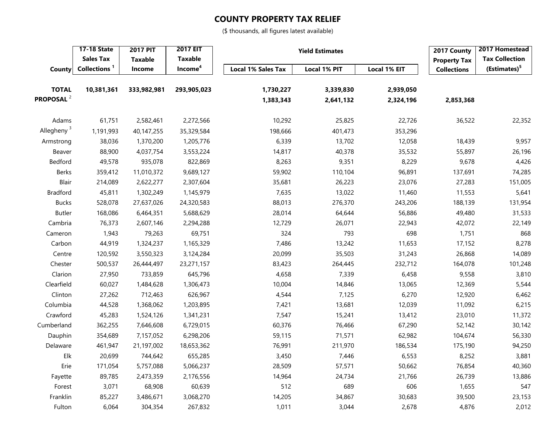## **COUNTY PROPERTY TAX RELIEF**

(\$ thousands, all figures latest available)

|                        | <b>17-18 State</b> | <b>2017 PIT</b> | <b>2017 EIT</b>     | <b>Yield Estimates</b>    | 2017 County         | 2017 Homestead |                     |                          |
|------------------------|--------------------|-----------------|---------------------|---------------------------|---------------------|----------------|---------------------|--------------------------|
|                        | <b>Sales Tax</b>   | <b>Taxable</b>  | <b>Taxable</b>      |                           |                     |                | <b>Property Tax</b> | <b>Tax Collection</b>    |
| County                 | Collections $1$    | Income          | Income <sup>4</sup> | <b>Local 1% Sales Tax</b> | <b>Local 1% PIT</b> | Local 1% EIT   | <b>Collections</b>  | (Estimates) <sup>5</sup> |
| <b>TOTAL</b>           | 10,381,361         | 333,982,981     | 293,905,023         | 1,730,227                 | 3,339,830           | 2,939,050      |                     |                          |
| PROPOSAL <sup>2</sup>  |                    |                 |                     | 1,383,343                 | 2,641,132           | 2,324,196      | 2,853,368           |                          |
| Adams                  | 61,751             | 2,582,461       | 2,272,566           | 10,292                    | 25,825              | 22,726         | 36,522              | 22,352                   |
| Allegheny <sup>3</sup> | 1,191,993          | 40,147,255      | 35,329,584          | 198,666                   | 401,473             | 353,296        |                     |                          |
| Armstrong              | 38,036             | 1,370,200       | 1,205,776           | 6,339                     | 13,702              | 12,058         | 18,439              | 9,957                    |
| Beaver                 | 88,900             | 4,037,754       | 3,553,224           | 14,817                    | 40,378              | 35,532         | 55,897              | 26,196                   |
| Bedford                | 49,578             | 935,078         | 822,869             | 8,263                     | 9,351               | 8,229          | 9,678               | 4,426                    |
| Berks                  | 359,412            | 11,010,372      | 9,689,127           | 59,902                    | 110,104             | 96,891         | 137,691             | 74,285                   |
| Blair                  | 214,089            | 2,622,277       | 2,307,604           | 35,681                    | 26,223              | 23,076         | 27,283              | 151,005                  |
| <b>Bradford</b>        | 45,811             | 1,302,249       | 1,145,979           | 7,635                     | 13,022              | 11,460         | 11,553              | 5,641                    |
| <b>Bucks</b>           | 528,078            | 27,637,026      | 24,320,583          | 88,013                    | 276,370             | 243,206        | 188,139             | 131,954                  |
| <b>Butler</b>          | 168,086            | 6,464,351       | 5,688,629           | 28,014                    | 64,644              | 56,886         | 49,480              | 31,533                   |
| Cambria                | 76,373             | 2,607,146       | 2,294,288           | 12,729                    | 26,071              | 22,943         | 42,072              | 22,149                   |
| Cameron                | 1,943              | 79,263          | 69,751              | 324                       | 793                 | 698            | 1,751               | 868                      |
| Carbon                 | 44,919             | 1,324,237       | 1,165,329           | 7,486                     | 13,242              | 11,653         | 17,152              | 8,278                    |
| Centre                 | 120,592            | 3,550,323       | 3,124,284           | 20,099                    | 35,503              | 31,243         | 26,868              | 14,089                   |
| Chester                | 500,537            | 26,444,497      | 23,271,157          | 83,423                    | 264,445             | 232,712        | 164,078             | 101,248                  |
| Clarion                | 27,950             | 733,859         | 645,796             | 4,658                     | 7,339               | 6,458          | 9,558               | 3,810                    |
| Clearfield             | 60,027             | 1,484,628       | 1,306,473           | 10,004                    | 14,846              | 13,065         | 12,369              | 5,544                    |
| Clinton                | 27,262             | 712,463         | 626,967             | 4,544                     | 7,125               | 6,270          | 12,920              | 6,462                    |
| Columbia               | 44,528             | 1,368,062       | 1,203,895           | 7,421                     | 13,681              | 12,039         | 11,092              | 6,215                    |
| Crawford               | 45,283             | 1,524,126       | 1,341,231           | 7,547                     | 15,241              | 13,412         | 23,010              | 11,372                   |
| Cumberland             | 362,255            | 7,646,608       | 6,729,015           | 60,376                    | 76,466              | 67,290         | 52,142              | 30,142                   |
| Dauphin                | 354,689            | 7,157,052       | 6,298,206           | 59,115                    | 71,571              | 62,982         | 104,674             | 56,330                   |
| Delaware               | 461,947            | 21,197,002      | 18,653,362          | 76,991                    | 211,970             | 186,534        | 175,190             | 94,250                   |
| Elk                    | 20,699             | 744,642         | 655,285             | 3,450                     | 7,446               | 6,553          | 8,252               | 3,881                    |
| Erie                   | 171,054            | 5,757,088       | 5,066,237           | 28,509                    | 57,571              | 50,662         | 76,854              | 40,360                   |
| Fayette                | 89,785             | 2,473,359       | 2,176,556           | 14,964                    | 24,734              | 21,766         | 26,739              | 13,886                   |
| Forest                 | 3,071              | 68,908          | 60,639              | 512                       | 689                 | 606            | 1,655               | 547                      |
| Franklin               | 85,227             | 3,486,671       | 3,068,270           | 14,205                    | 34,867              | 30,683         | 39,500              | 23,153                   |
| Fulton                 | 6,064              | 304,354         | 267,832             | 1,011                     | 3,044               | 2,678          | 4,876               | 2,012                    |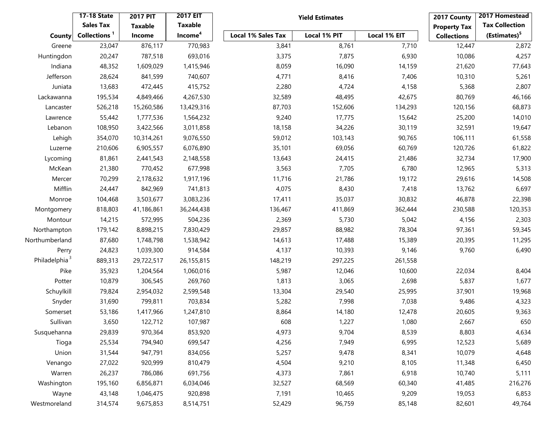|                           | <b>17-18 State</b>       | <b>2017 PIT</b> | <b>2017 EIT</b>     |                           | <b>Yield Estimates</b> |              | 2017 County         | 2017 Homestead           |
|---------------------------|--------------------------|-----------------|---------------------|---------------------------|------------------------|--------------|---------------------|--------------------------|
|                           | <b>Sales Tax</b>         | <b>Taxable</b>  | <b>Taxable</b>      |                           |                        |              | <b>Property Tax</b> | <b>Tax Collection</b>    |
| <b>County</b>             | Collections <sup>1</sup> | Income          | Income <sup>4</sup> | <b>Local 1% Sales Tax</b> | Local 1% PIT           | Local 1% EIT | <b>Collections</b>  | (Estimates) <sup>5</sup> |
| Greene                    | 23,047                   | 876,117         | 770,983             | 3,841                     | 8,761                  | 7,710        | 12,447              | 2,872                    |
| Huntingdon                | 20,247                   | 787,518         | 693,016             | 3,375                     | 7,875                  | 6,930        | 10,086              | 4,257                    |
| Indiana                   | 48,352                   | 1,609,029       | 1,415,946           | 8,059                     | 16,090                 | 14,159       | 21,620              | 77,643                   |
| Jefferson                 | 28,624                   | 841,599         | 740,607             | 4,771                     | 8,416                  | 7,406        | 10,310              | 5,261                    |
| Juniata                   | 13,683                   | 472,445         | 415,752             | 2,280                     | 4,724                  | 4,158        | 5,368               | 2,807                    |
| Lackawanna                | 195,534                  | 4,849,466       | 4,267,530           | 32,589                    | 48,495                 | 42,675       | 80,769              | 46,166                   |
| Lancaster                 | 526,218                  | 15,260,586      | 13,429,316          | 87,703                    | 152,606                | 134,293      | 120,156             | 68,873                   |
| Lawrence                  | 55,442                   | 1,777,536       | 1,564,232           | 9,240                     | 17,775                 | 15,642       | 25,200              | 14,010                   |
| Lebanon                   | 108,950                  | 3,422,566       | 3,011,858           | 18,158                    | 34,226                 | 30,119       | 32,591              | 19,647                   |
| Lehigh                    | 354,070                  | 10,314,261      | 9,076,550           | 59,012                    | 103,143                | 90,765       | 106,111             | 61,558                   |
| Luzerne                   | 210,606                  | 6,905,557       | 6,076,890           | 35,101                    | 69,056                 | 60,769       | 120,726             | 61,822                   |
| Lycoming                  | 81,861                   | 2,441,543       | 2,148,558           | 13,643                    | 24,415                 | 21,486       | 32,734              | 17,900                   |
| McKean                    | 21,380                   | 770,452         | 677,998             | 3,563                     | 7,705                  | 6,780        | 12,965              | 5,313                    |
| Mercer                    | 70,299                   | 2,178,632       | 1,917,196           | 11,716                    | 21,786                 | 19,172       | 29,616              | 14,508                   |
| Mifflin                   | 24,447                   | 842,969         | 741,813             | 4,075                     | 8,430                  | 7,418        | 13,762              | 6,697                    |
| Monroe                    | 104,468                  | 3,503,677       | 3,083,236           | 17,411                    | 35,037                 | 30,832       | 46,878              | 22,398                   |
| Montgomery                | 818,803                  | 41,186,861      | 36,244,438          | 136,467                   | 411,869                | 362,444      | 230,588             | 120,353                  |
| Montour                   | 14,215                   | 572,995         | 504,236             | 2,369                     | 5,730                  | 5,042        | 4,156               | 2,303                    |
| Northampton               | 179,142                  | 8,898,215       | 7,830,429           | 29,857                    | 88,982                 | 78,304       | 97,361              | 59,345                   |
| Northumberland            | 87,680                   | 1,748,798       | 1,538,942           | 14,613                    | 17,488                 | 15,389       | 20,395              | 11,295                   |
| Perry                     | 24,823                   | 1,039,300       | 914,584             | 4,137                     | 10,393                 | 9,146        | 9,760               | 6,490                    |
| Philadelphia <sup>3</sup> | 889,313                  | 29,722,517      | 26, 155, 815        | 148,219                   | 297,225                | 261,558      |                     |                          |
| Pike                      | 35,923                   | 1,204,564       | 1,060,016           | 5,987                     | 12,046                 | 10,600       | 22,034              | 8,404                    |
| Potter                    | 10,879                   | 306,545         | 269,760             | 1,813                     | 3,065                  | 2,698        | 5,837               | 1,677                    |
| Schuylkill                | 79,824                   | 2,954,032       | 2,599,548           | 13,304                    | 29,540                 | 25,995       | 37,901              | 19,968                   |
| Snyder                    | 31,690                   | 799,811         | 703,834             | 5,282                     | 7,998                  | 7,038        | 9,486               | 4,323                    |
| Somerset                  | 53,186                   | 1,417,966       | 1,247,810           | 8,864                     | 14,180                 | 12,478       | 20,605              | 9,363                    |
| Sullivan                  | 3,650                    | 122,712         | 107,987             | 608                       | 1,227                  | 1,080        | 2,667               | 650                      |
| Susquehanna               | 29,839                   | 970,364         | 853,920             | 4,973                     | 9,704                  | 8,539        | 8,803               | 4,634                    |
| Tioga                     | 25,534                   | 794,940         | 699,547             | 4,256                     | 7,949                  | 6,995        | 12,523              | 5,689                    |
| Union                     | 31,544                   | 947,791         | 834,056             | 5,257                     | 9,478                  | 8,341        | 10,079              | 4,648                    |
| Venango                   | 27,022                   | 920,999         | 810,479             | 4,504                     | 9,210                  | 8,105        | 11,348              | 6,450                    |
| Warren                    | 26,237                   | 786,086         | 691,756             | 4,373                     | 7,861                  | 6,918        | 10,740              | 5,111                    |
| Washington                | 195,160                  | 6,856,871       | 6,034,046           | 32,527                    | 68,569                 | 60,340       | 41,485              | 216,276                  |
| Wayne                     | 43,148                   | 1,046,475       | 920,898             | 7,191                     | 10,465                 | 9,209        | 19,053              | 6,853                    |
| Westmoreland              | 314,574                  | 9,675,853       | 8,514,751           | 52,429                    | 96,759                 | 85,148       | 82,601              | 49,764                   |